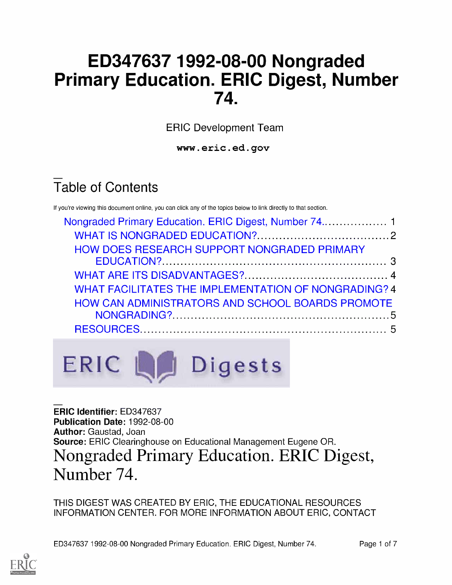# ED347637 1992-08-00 Nongraded Primary Education. ERIC Digest, Number 74.

ERIC Development Team

www.eric.ed.gov

# Table of Contents

If you're viewing this document online, you can click any of the topics below to link directly to that section.

| <b>HOW DOES RESEARCH SUPPORT NONGRADED PRIMARY</b>   |  |
|------------------------------------------------------|--|
|                                                      |  |
|                                                      |  |
| WHAT FACILITATES THE IMPLEMENTATION OF NONGRADING? 4 |  |
| HOW CAN ADMINISTRATORS AND SCHOOL BOARDS PROMOTE     |  |
|                                                      |  |
|                                                      |  |



ERIC Identifier: ED347637 Publication Date: 1992-08-00 Author: Gaustad, Joan Source: ERIC Clearinghouse on Educational Management Eugene OR. Nongraded Primary Education. ERIC Digest, Number 74.

THIS DIGEST WAS CREATED BY ERIC, THE EDUCATIONAL RESOURCES INFORMATION CENTER. FOR MORE INFORMATION ABOUT ERIC, CONTACT

ED347637 1992-08-00 Nongraded Primary Education. ERIC Digest, Number 74. Page 1 of 7

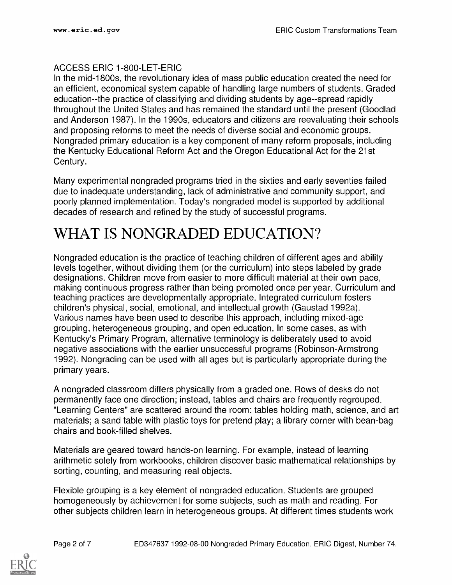#### ACCESS ERIC 1-800-LET-ERIC

In the mid-1800s, the revolutionary idea of mass public education created the need for an efficient, economical system capable of handling large numbers of students. Graded education--the practice of classifying and dividing students by age--spread rapidly throughout the United States and has remained the standard until the present (Goodlad and Anderson 1987). In the 1990s, educators and citizens are reevaluating their schools and proposing reforms to meet the needs of diverse social and economic groups. Nongraded primary education is a key component of many reform proposals, including the Kentucky Educational Reform Act and the Oregon Educational Act for the 21st Century.

Many experimental nongraded programs tried in the sixties and early seventies failed due to inadequate understanding, lack of administrative and community support, and poorly planned implementation. Today's nongraded model is supported by additional decades of research and refined by the study of successful programs.

## WHAT IS NONGRADED EDUCATION?

Nongraded education is the practice of teaching children of different ages and ability levels together, without dividing them (or the curriculum) into steps labeled by grade designations. Children move from easier to more difficult material at their own pace, making continuous progress rather than being promoted once per year. Curriculum and teaching practices are developmentally appropriate. Integrated curriculum fosters children's physical, social, emotional, and intellectual growth (Gaustad 1992a). Various names have been used to describe this approach, including mixed-age grouping, heterogeneous grouping, and open education. In some cases, as with Kentucky's Primary Program, alternative terminology is deliberately used to avoid negative associations with the earlier unsuccessful programs (Robinson-Armstrong 1992). Nongrading can be used with all ages but is particularly appropriate during the primary years.

A nongraded classroom differs physically from a graded one. Rows of desks do not permanently face one direction; instead, tables and chairs are frequently regrouped. "Learning Centers" are scattered around the room: tables holding math, science, and art materials; a sand table with plastic toys for pretend play; a library corner with bean-bag chairs and book-filled shelves.

Materials are geared toward hands-on learning. For example, instead of learning arithmetic solely from workbooks, children discover basic mathematical relationships by sorting, counting, and measuring real objects.

Flexible grouping is a key element of nongraded education. Students are grouped homogeneously by achievement for some subjects, such as math and reading. For other subjects children learn in heterogeneous groups. At different times students work

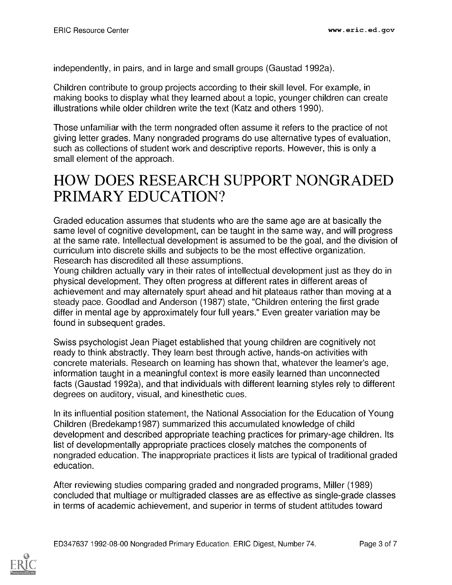independently, in pairs, and in large and small groups (Gaustad 1992a).

Children contribute to group projects according to their skill level. For example, in making books to display what they learned about a topic, younger children can create illustrations while older children write the text (Katz and others 1990).

Those unfamiliar with the term nongraded often assume it refers to the practice of not giving letter grades. Many nongraded programs do use alternative types of evaluation, such as collections of student work and descriptive reports. However, this is only a small element of the approach.

## HOW DOES RESEARCH SUPPORT NONGRADED PRIMARY EDUCATION?

Graded education assumes that students who are the same age are at basically the same level of cognitive development, can be taught in the same way, and will progress at the same rate. Intellectual development is assumed to be the goal, and the division of curriculum into discrete skills and subjects to be the most effective organization. Research has discredited all these assumptions.

Young children actually vary in their rates of intellectual development just as they do in physical development. They often progress at different rates in different areas of achievement and may alternately spurt ahead and hit plateaus rather than moving at a steady pace. Goodlad and Anderson (1987) state, "Children entering the first grade differ in mental age by approximately four full years." Even greater variation may be found in subsequent grades.

Swiss psychologist Jean Piaget established that young children are cognitively not ready to think abstractly. They learn best through active, hands-on activities with concrete materials. Research on learning has shown that, whatever the learner's age, information taught in a meaningful context is more easily learned than unconnected facts (Gaustad 1992a), and that individuals with different learning styles rely to different degrees on auditory, visual, and kinesthetic cues.

In its influential position statement, the National Association for the Education of Young Children (Bredekamp1987) summarized this accumulated knowledge of child development and described appropriate teaching practices for primary-age children. Its list of developmentally appropriate practices closely matches the components of nongraded education. The inappropriate practices it lists are typical of traditional graded education.

After reviewing studies comparing graded and nongraded programs, Miller (1989) concluded that multiage or multigraded classes are as effective as single-grade classes in terms of academic achievement, and superior in terms of student attitudes toward

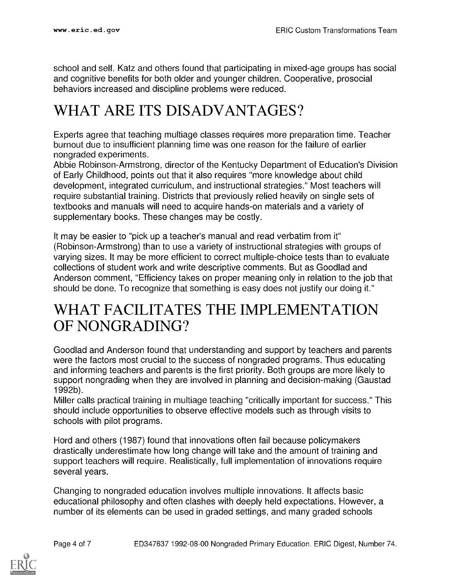school and self. Katz and others found that participating in mixed-age groups has social and cognitive benefits for both older and younger children. Cooperative, prosocial behaviors increased and discipline problems were reduced.

## WHAT ARE ITS DISADVANTAGES?

Experts agree that teaching multiage classes requires more preparation time. Teacher burnout due to insufficient planning time was one reason for the failure of earlier nongraded experiments.

Abbie Robinson-Armstrong, director of the Kentucky Department of Education's Division of Early Childhood, points out that it also requires "more knowledge about child development, integrated curriculum, and instructional strategies." Most teachers will require substantial training. Districts that previously relied heavily on single sets of textbooks and manuals will need to acquire hands-on materials and a variety of supplementary books. These changes may be costly.

It may be easier to "pick up a teacher's manual and read verbatim from it" (Robinson-Armstrong) than to use a variety of instructional strategies with groups of varying sizes. It may be more efficient to correct multiple-choice tests than to evaluate collections of student work and write descriptive comments. But as Goodlad and Anderson comment, "Efficiency takes on proper meaning only in relation to the job that should be done. To recognize that something is easy does not justify our doing it."

#### WHAT FACILITATES THE IMPLEMENTATION OF NONGRADING?

Good lad and Anderson found that understanding and support by teachers and parents were the factors most crucial to the success of nongraded programs. Thus educating and informing teachers and parents is the first priority. Both groups are more likely to support nongrading when they are involved in planning and decision-making (Gaustad 1992b).

Miller calls practical training in multiage teaching "critically important for success." This should include opportunities to observe effective models such as through visits to schools with pilot programs.

Hord and others (1987) found that innovations often fail because policymakers drastically underestimate how long change will take and the amount of training and support teachers will require. Realistically, full implementation of innovations require several years.

Changing to nongraded education involves multiple innovations. It affects basic educational philosophy and often clashes with deeply held expectations. However, a number of its elements can be used in graded settings, and many graded schools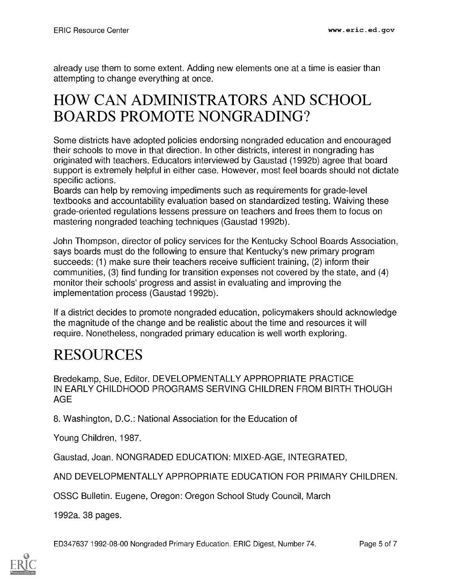already use them to some extent. Adding new elements one at a time is easier than attempting to change everything at once.

## HOW CAN ADMINISTRATORS AND SCHOOL BOARDS PROMOTE NONGRADING?

Some districts have adopted policies endorsing nongraded education and encouraged their schools to move in that direction. In other districts, interest in nongrading has originated with teachers. Educators interviewed by Gaustad (1992b) agree that board support is extremely helpful in either case. However, most feel boards should not dictate specific actions.

Boards can help by removing impediments such as requirements for grade-level textbooks and accountability evaluation based on standardized testing. Waiving these grade-oriented regulations lessens pressure on teachers and frees them to focus on mastering nongraded teaching techniques (Gaustad 1992b).

John Thompson, director of policy services for the Kentucky School Boards Association, says boards must do the following to ensure that Kentucky's new primary program succeeds: (1) make sure their teachers receive sufficient training, (2) inform their communities, (3) find funding for transition expenses not covered by the state, and (4) monitor their schools' progress and assist in evaluating and improving the implementation process (Gaustad 1992b).

If a district decides to promote nongraded education, policymakers should acknowledge the magnitude of the change and be realistic about the time and resources it will require. Nonetheless, nongraded primary education is well worth exploring.

## RESOURCES

Bredekamp, Sue, Editor. DEVELOPMENTALLY APPROPRIATE PRACTICE IN EARLY CHILDHOOD PROGRAMS SERVING CHILDREN FROM BIRTH THOUGH AGE

8. Washington, D.C.: National Association for the Education of

Young Children, 1987.

Gaustad, Joan. NONGRADED EDUCATION: MIXED-AGE, INTEGRATED,

AND DEVELOPMENTALLY APPROPRIATE EDUCATION FOR PRIMARY CHILDREN.

OSSC Bulletin. Eugene, Oregon: Oregon School Study Council, March

1992a. 38 pages.

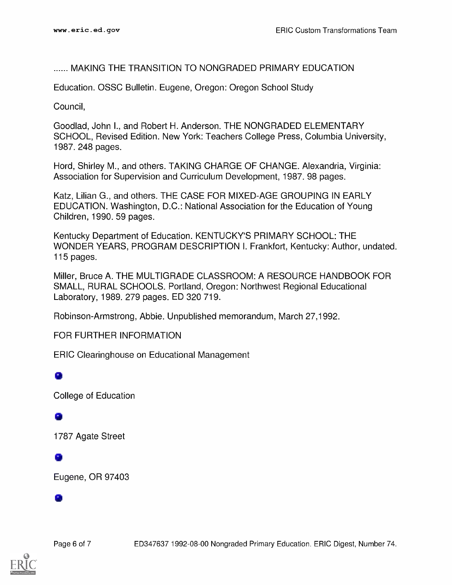MAKING THE TRANSITION TO NONGRADED PRIMARY EDUCATION

Education. OSSC Bulletin. Eugene, Oregon: Oregon School Study

Council,

Goodlad, John I., and Robert H. Anderson. THE NONGRADED ELEMENTARY SCHOOL, Revised Edition. New York: Teachers College Press, Columbia University, 1987. 248 pages.

Hord, Shirley M., and others. TAKING CHARGE OF CHANGE. Alexandria, Virginia: Association for Supervision and Curriculum Development, 1987. 98 pages.

Katz, Lilian G., and others. THE CASE FOR MIXED-AGE GROUPING IN EARLY EDUCATION. Washington, D.C.: National Association for the Education of Young Children, 1990. 59 pages.

Kentucky Department of Education. KENTUCKY'S PRIMARY SCHOOL: THE WONDER YEARS, PROGRAM DESCRIPTION I. Frankfort, Kentucky: Author, undated. 115 pages.

Miller, Bruce A. THE MULTIGRADE CLASSROOM: A RESOURCE HANDBOOK FOR SMALL, RURAL SCHOOLS. Portland, Oregon: Northwest Regional Educational Laboratory, 1989. 279 pages. ED 320 719.

Robinson-Armstrong, Abbie. Unpublished memorandum, March 27,1992.

FOR FURTHER INFORMATION

ERIC Clearinghouse on Educational Management

#### 0

College of Education

#### **0 1**

1787 Agate Street

#### ei

Eugene, OR 97403

#### **0 1**